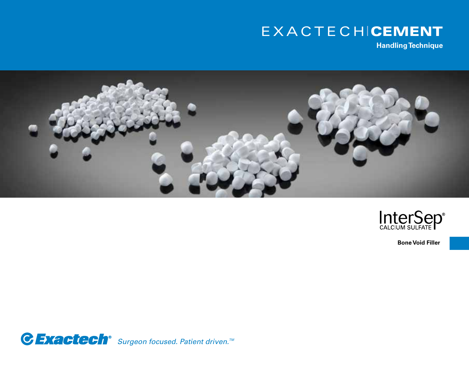# EXACTECHICEMENT

**Handling Technique**





**Bone Void Filler**

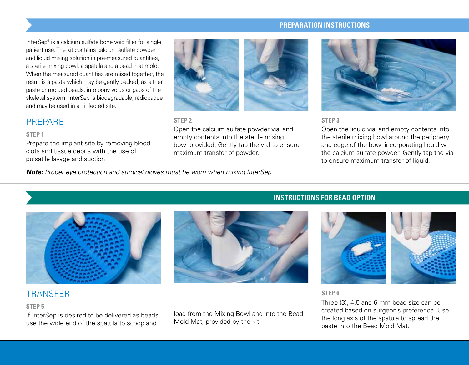#### **PREPARATION INSTRUCTIONS**

InterSep® is a calcium sulfate bone void filler for single patient use. The kit contains calcium sulfate powder and liquid mixing solution in pre-measured quantities, a sterile mixing bowl, a spatula and a bead mat mold. When the measured quantities are mixed together, the result is a paste which may be gently packed, as either paste or molded beads, into bony voids or gaps of the skeletal system. InterSep is biodegradable, radiopaque and may be used in an infected site.

## PREPARE

#### **STEP 1**

Prepare the implant site by removing blood clots and tissue debris with the use of pulsatile lavage and suction.



#### **STEP 2**

Open the calcium sulfate powder vial and empty contents into the sterile mixing bowl provided. Gently tap the vial to ensure maximum transfer of powder.



#### **STEP 3**

Open the liquid vial and empty contents into the sterile mixing bowl around the periphery and edge of the bowl incorporating liquid with the calcium sulfate powder. Gently tap the vial to ensure maximum transfer of liquid.

*Note: Proper eye protection and surgical gloves must be worn when mixing InterSep.*



# **TRANSFFR**

#### **STEP 5**

If InterSep is desired to be delivered as beads, use the wide end of the spatula to scoop and

load from the Mixing Bowl and into the Bead Mold Mat, provided by the kit.

### **INSTRUCTIONS FOR BEAD OPTION**



#### **STEP 6**

Three (3), 4.5 and 6 mm bead size can be created based on surgeon's preference. Use the long axis of the spatula to spread the paste into the Bead Mold Mat.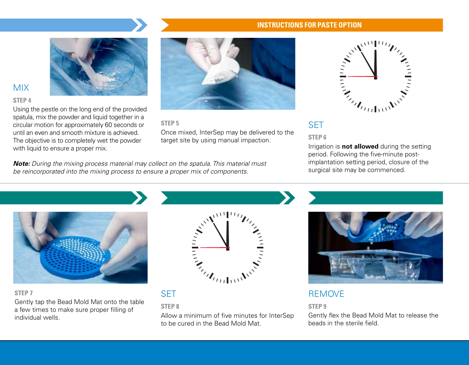

# MIX

#### **STEP 4**

Using the pestle on the long end of the provided spatula, mix the powder and liquid together in a circular motion for approximately 60 seconds or until an even and smooth mixture is achieved. The objective is to completely wet the powder with liquid to ensure a proper mix.



**STEP 5**

Once mixed, InterSep may be delivered to the target site by using manual impaction.

*Note: During the mixing process material may collect on the spatula. This material must be reincorporated into the mixing process to ensure a proper mix of components.* 

# **INSTRUCTIONS FOR PASTE OPTION**



### **STEP 6**

Irrigation is **not allowed** during the setting period. Following the five-minute postimplantation setting period, closure of the surgical site may be commenced.



#### **STEP 7**

Gently tap the Bead Mold Mat onto the table a few times to make sure proper filling of individual wells.



# **SFT**

#### **STEP 8**

Allow a minimum of five minutes for InterSep to be cured in the Bead Mold Mat.



# REMOVE

#### **STEP 9**

Gently flex the Bead Mold Mat to release the beads in the sterile field.